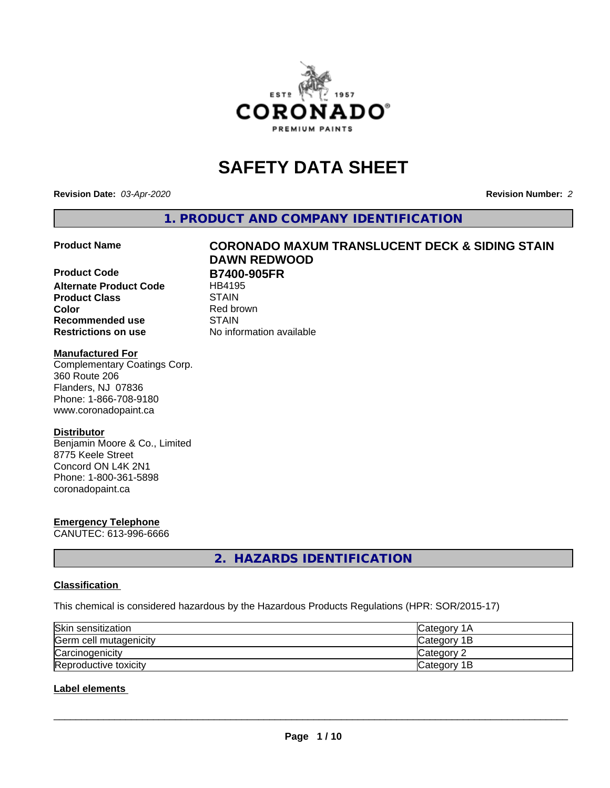

# **SAFETY DATA SHEET**

**Revision Date:** *03-Apr-2020* **Revision Number:** *2*

**1. PRODUCT AND COMPANY IDENTIFICATION**

**Product Code B7400-905FR**<br>Alternate Product Code HB4195 **Alternate Product Code Product Class** STAIN<br> **Color** Red bro **Recommended use STAIN Restrictions on use** No information available

# **Product Name CORONADO MAXUM TRANSLUCENT DECK & SIDING STAIN DAWN REDWOOD**

**Red brown** 

#### **Manufactured For**

Complementary Coatings Corp. 360 Route 206 Flanders, NJ 07836 Phone: 1-866-708-9180 www.coronadopaint.ca

#### **Distributor**

Benjamin Moore & Co., Limited 8775 Keele Street Concord ON L4K 2N1 Phone: 1-800-361-5898 coronadopaint.ca

## **Emergency Telephone**

CANUTEC: 613-996-6666

**2. HAZARDS IDENTIFICATION**

#### **Classification**

This chemical is considered hazardous by the Hazardous Products Regulations (HPR: SOR/2015-17)

| Skin sensitization     | <b>Category 1A</b> |
|------------------------|--------------------|
| Germ cell mutagenicity | Category 1B        |
| Carcinogenicity        | Category 2         |
| Reproductive toxicity  | Category 1B        |

#### **Label elements**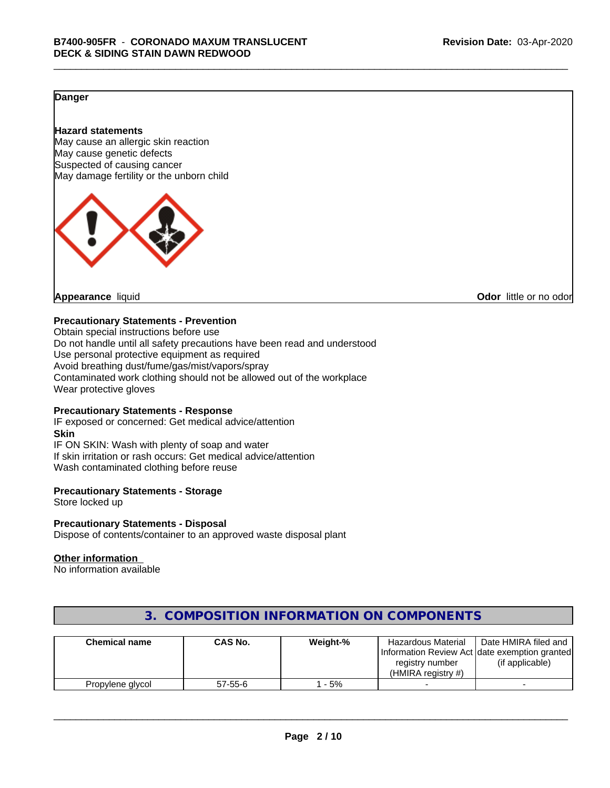#### **Danger**

#### **Hazard statements**

May cause an allergic skin reaction May cause genetic defects Suspected of causing cancer May damage fertility or the unborn child



**Appearance** liquid **CODO** *Appearance liquid* **Odor** *CODO CODO* **<b>***CODO CODO CODO CODO CODO* 

#### **Precautionary Statements - Prevention**

Obtain special instructions before use Do not handle until all safety precautions have been read and understood Use personal protective equipment as required Avoid breathing dust/fume/gas/mist/vapors/spray Contaminated work clothing should not be allowed out of the workplace Wear protective gloves

#### **Precautionary Statements - Response**

IF exposed or concerned: Get medical advice/attention **Skin** IF ON SKIN: Wash with plenty of soap and water If skin irritation or rash occurs: Get medical advice/attention Wash contaminated clothing before reuse

#### **Precautionary Statements - Storage**

Store locked up

#### **Precautionary Statements - Disposal**

Dispose of contents/container to an approved waste disposal plant

#### **Other information**

No information available

| <b>Chemical name</b> | CAS No.       | Weight-% | <b>Hazardous Material</b><br>registry number<br>(HMIRA reaistry #) | Date HMIRA filed and<br>Information Review Act Idate exemption granted<br>(if applicable) |
|----------------------|---------------|----------|--------------------------------------------------------------------|-------------------------------------------------------------------------------------------|
| Propylene glycol     | $57 - 55 - 6$ | - 5%     |                                                                    |                                                                                           |

### **3. COMPOSITION INFORMATION ON COMPONENTS**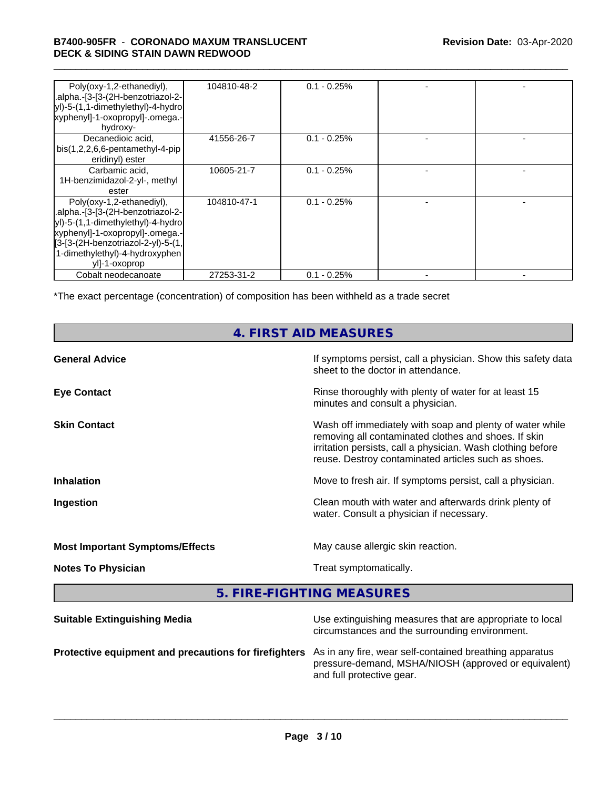#### \_\_\_\_\_\_\_\_\_\_\_\_\_\_\_\_\_\_\_\_\_\_\_\_\_\_\_\_\_\_\_\_\_\_\_\_\_\_\_\_\_\_\_\_\_\_\_\_\_\_\_\_\_\_\_\_\_\_\_\_\_\_\_\_\_\_\_\_\_\_\_\_\_\_\_\_\_\_\_\_\_\_\_\_\_\_\_\_\_\_\_\_\_ **B7400-905FR** - **CORONADO MAXUM TRANSLUCENT DECK & SIDING STAIN DAWN REDWOOD**

| Poly(oxy-1,2-ethanediyl),<br>.alpha.-[3-[3-(2H-benzotriazol-2-<br>yl)-5-(1,1-dimethylethyl)-4-hydro<br>xyphenyl]-1-oxopropyl]-.omega.-<br>hydroxy-                                                                              | 104810-48-2 | $0.1 - 0.25\%$ |  |
|---------------------------------------------------------------------------------------------------------------------------------------------------------------------------------------------------------------------------------|-------------|----------------|--|
| Decanedioic acid,<br>$bis(1,2,2,6,6-pentamentlyl-4-pip)$<br>eridinyl) ester                                                                                                                                                     | 41556-26-7  | $0.1 - 0.25\%$ |  |
| Carbamic acid,<br>1H-benzimidazol-2-yl-, methyl<br>ester                                                                                                                                                                        | 10605-21-7  | $0.1 - 0.25%$  |  |
| Poly(oxy-1,2-ethanediyl),<br>.alpha.-[3-[3-(2H-benzotriazol-2-<br>yl)-5-(1,1-dimethylethyl)-4-hydro<br>xyphenyl]-1-oxopropyl]-.omega.-<br>[3-[3-(2H-benzotriazol-2-yl)-5-(1,<br>1-dimethylethyl)-4-hydroxyphen<br>yll-1-oxoprop | 104810-47-1 | $0.1 - 0.25%$  |  |
| Cobalt neodecanoate                                                                                                                                                                                                             | 27253-31-2  | $0.1 - 0.25%$  |  |

\*The exact percentage (concentration) of composition has been withheld as a trade secret

## **4. FIRST AID MEASURES**

| <b>General Advice</b>                  | If symptoms persist, call a physician. Show this safety data<br>sheet to the doctor in attendance.                                                                                                                                     |
|----------------------------------------|----------------------------------------------------------------------------------------------------------------------------------------------------------------------------------------------------------------------------------------|
| <b>Eye Contact</b>                     | Rinse thoroughly with plenty of water for at least 15<br>minutes and consult a physician.                                                                                                                                              |
| <b>Skin Contact</b>                    | Wash off immediately with soap and plenty of water while<br>removing all contaminated clothes and shoes. If skin<br>irritation persists, call a physician. Wash clothing before<br>reuse. Destroy contaminated articles such as shoes. |
| <b>Inhalation</b>                      | Move to fresh air. If symptoms persist, call a physician.                                                                                                                                                                              |
| Ingestion                              | Clean mouth with water and afterwards drink plenty of<br>water. Consult a physician if necessary.                                                                                                                                      |
| <b>Most Important Symptoms/Effects</b> | May cause allergic skin reaction.                                                                                                                                                                                                      |
| <b>Notes To Physician</b>              | Treat symptomatically.                                                                                                                                                                                                                 |
|                                        |                                                                                                                                                                                                                                        |

**5. FIRE-FIGHTING MEASURES**

| <b>Suitable Extinguishing Media</b>                                                                           | Use extinguishing measures that are appropriate to local<br>circumstances and the surrounding environment. |
|---------------------------------------------------------------------------------------------------------------|------------------------------------------------------------------------------------------------------------|
| Protective equipment and precautions for firefighters As in any fire, wear self-contained breathing apparatus | pressure-demand, MSHA/NIOSH (approved or equivalent)<br>and full protective gear.                          |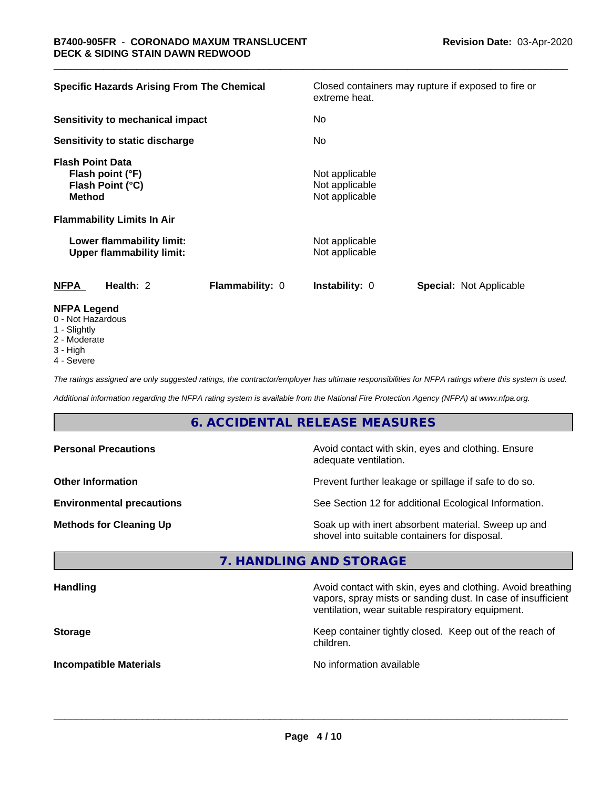| <b>Specific Hazards Arising From The Chemical</b>                                | Closed containers may rupture if exposed to fire or<br>extreme heat. |
|----------------------------------------------------------------------------------|----------------------------------------------------------------------|
| Sensitivity to mechanical impact                                                 | No                                                                   |
| Sensitivity to static discharge                                                  | No.                                                                  |
| <b>Flash Point Data</b><br>Flash point (°F)<br>Flash Point (°C)<br><b>Method</b> | Not applicable<br>Not applicable<br>Not applicable                   |
| <b>Flammability Limits In Air</b>                                                |                                                                      |
| Lower flammability limit:<br><b>Upper flammability limit:</b>                    | Not applicable<br>Not applicable                                     |
| <b>NFPA</b><br>Health: 2<br>Flammability: 0                                      | <b>Special: Not Applicable</b><br><b>Instability: 0</b>              |
| <b>NFPA Legend</b><br>0 Not Hozordoug                                            |                                                                      |

- 0 Not Hazardous
- 1 Slightly
- 2 Moderate
- 3 High
- 4 Severe

*The ratings assigned are only suggested ratings, the contractor/employer has ultimate responsibilities for NFPA ratings where this system is used.*

*Additional information regarding the NFPA rating system is available from the National Fire Protection Agency (NFPA) at www.nfpa.org.*

## **6. ACCIDENTAL RELEASE MEASURES**

| <b>Personal Precautions</b>      | Avoid contact with skin, eyes and clothing. Ensure<br>adequate ventilation.                          |
|----------------------------------|------------------------------------------------------------------------------------------------------|
| <b>Other Information</b>         | Prevent further leakage or spillage if safe to do so.                                                |
| <b>Environmental precautions</b> | See Section 12 for additional Ecological Information.                                                |
| <b>Methods for Cleaning Up</b>   | Soak up with inert absorbent material. Sweep up and<br>shovel into suitable containers for disposal. |

#### **7. HANDLING AND STORAGE**

| <b>Handling</b>               | Avoid contact with skin, eyes and clothing. Avoid breathing<br>vapors, spray mists or sanding dust. In case of insufficient<br>ventilation, wear suitable respiratory equipment. |
|-------------------------------|----------------------------------------------------------------------------------------------------------------------------------------------------------------------------------|
| <b>Storage</b>                | Keep container tightly closed. Keep out of the reach of<br>children.                                                                                                             |
| <b>Incompatible Materials</b> | No information available                                                                                                                                                         |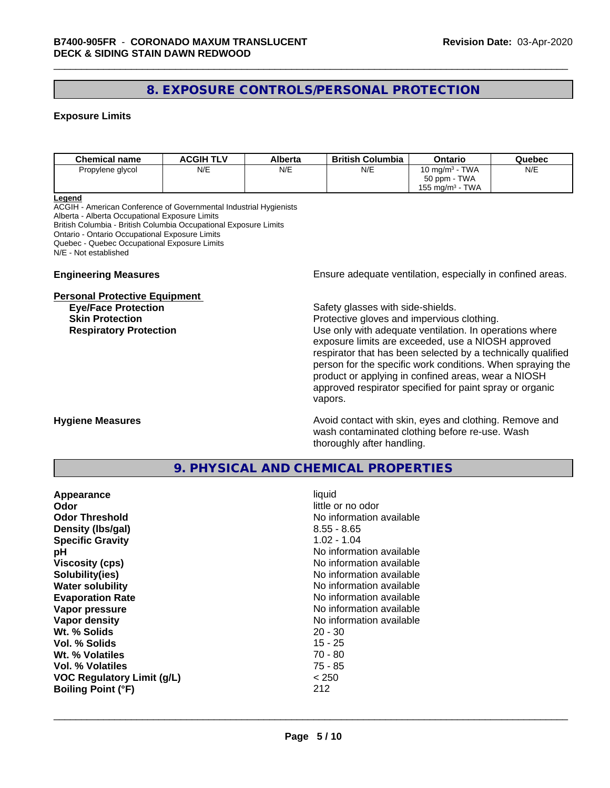### **8. EXPOSURE CONTROLS/PERSONAL PROTECTION**

#### **Exposure Limits**

| <b>Chemical name</b> | <b>ACGIH TLV</b> | Alberta | <b>British Columbia</b> | Ontario                       | Quebec |
|----------------------|------------------|---------|-------------------------|-------------------------------|--------|
| Propylene glycol     | N/E              | N/E     | N/E                     | 10 mg/m $3$ - TWA             | N/E    |
|                      |                  |         |                         | 50 ppm - TWA                  |        |
|                      |                  |         |                         | TWA<br>$155 \text{ mg/m}^3$ - |        |

#### **Legend**

ACGIH - American Conference of Governmental Industrial Hygienists Alberta - Alberta Occupational Exposure Limits British Columbia - British Columbia Occupational Exposure Limits Ontario - Ontario Occupational Exposure Limits Quebec - Quebec Occupational Exposure Limits N/E - Not established

#### **Personal Protective Equipment**

**Engineering Measures Ensure** Ensure adequate ventilation, especially in confined areas.

**Eye/Face Protection Safety glasses with side-shields.** 

**Skin Protection Protection Protective gloves and impervious clothing. Respiratory Protection Exercise 2018** Use only with adequate ventilation. In operations where exposure limits are exceeded, use a NIOSH approved respirator that has been selected by a technically qualified person for the specific work conditions. When spraying the product or applying in confined areas, wear a NIOSH approved respirator specified for paint spray or organic vapors.

**Hygiene Measures Avoid contact with skin, eyes and clothing. Remove and Avoid contact with skin, eyes and clothing. Remove and Avoid contact with skin, eyes and clothing. Remove and** wash contaminated clothing before re-use. Wash thoroughly after handling.

#### **9. PHYSICAL AND CHEMICAL PROPERTIES**

| Appearance                        | liquid                   |
|-----------------------------------|--------------------------|
| Odor                              | little or no odor        |
| <b>Odor Threshold</b>             | No information available |
| Density (Ibs/gal)                 | $8.55 - 8.65$            |
| <b>Specific Gravity</b>           | $1.02 - 1.04$            |
| рH                                | No information available |
| <b>Viscosity (cps)</b>            | No information available |
| Solubility(ies)                   | No information available |
| <b>Water solubility</b>           | No information available |
| <b>Evaporation Rate</b>           | No information available |
| Vapor pressure                    | No information available |
| Vapor density                     | No information available |
| Wt. % Solids                      | $20 - 30$                |
| Vol. % Solids                     | $15 - 25$                |
| Wt. % Volatiles                   | $70 - 80$                |
| Vol. % Volatiles                  | 75 - 85                  |
| <b>VOC Regulatory Limit (g/L)</b> | < 250                    |
| <b>Boiling Point (°F)</b>         | 212                      |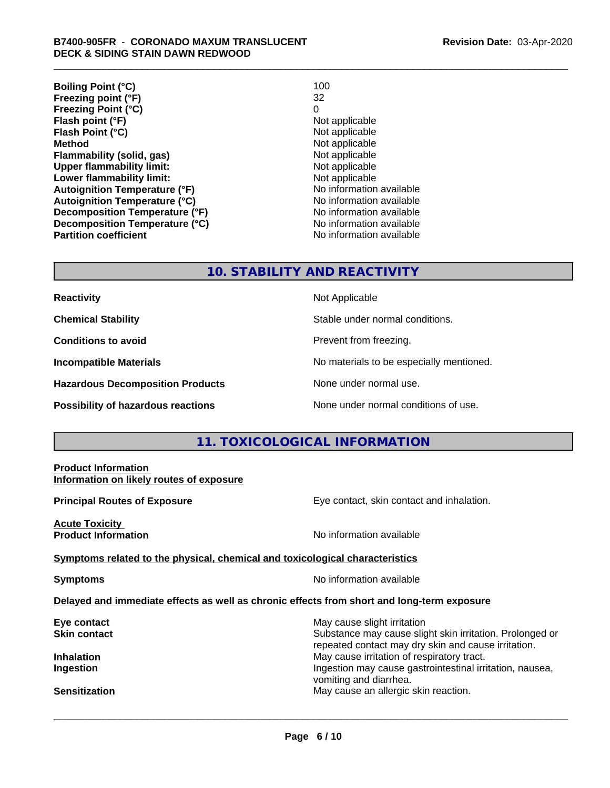| <b>Boiling Point (°C)</b>            | 100                      |
|--------------------------------------|--------------------------|
| Freezing point (°F)                  | 32                       |
| <b>Freezing Point (°C)</b>           | 0                        |
| Flash point (°F)                     | Not applicable           |
| Flash Point (°C)                     | Not applicable           |
| <b>Method</b>                        | Not applicable           |
| Flammability (solid, gas)            | Not applicable           |
| <b>Upper flammability limit:</b>     | Not applicable           |
| Lower flammability limit:            | Not applicable           |
| <b>Autoignition Temperature (°F)</b> | No information available |
| <b>Autoignition Temperature (°C)</b> | No information available |
| Decomposition Temperature (°F)       | No information available |
| Decomposition Temperature (°C)       | No information available |
| <b>Partition coefficient</b>         | No information available |

#### **10. STABILITY AND REACTIVITY**

| <b>Reactivity</b> |
|-------------------|
|-------------------|

**Hazardous Decomposition Products** None under normal use.

**Not Applicable** 

**Chemical Stability Stable under normal conditions.** 

**Conditions to avoid Prevent from freezing.** 

**Incompatible Materials No materials** No materials to be especially mentioned.

**Possibility of hazardous reactions** None under normal conditions of use.

#### **11. TOXICOLOGICAL INFORMATION**

## **Product Information Information on likely routes of exposure Principal Routes of Exposure Exposure** Eye contact, skin contact and inhalation. **Acute Toxicity Product Information Information No information available <u>Symptoms related to the physical, chemical and toxicological characteristics</u> Symptoms** No information available **Delayed and immediate effects as well as chronic effects from short and long-term exposure Eye contact Exercise Solution** May cause slight irritation **Skin contact** Substance may cause slight skin irritation. Prolonged or repeated contact may dry skin and cause irritation. **Inhalation** May cause irritation of respiratory tract. **Ingestion Ingestion Ingestion Ingestion Ingestion Ingestion Ingestion Ingestion Ingestion Ingestion** vomiting and diarrhea. **Sensitization** May cause an allergic skin reaction.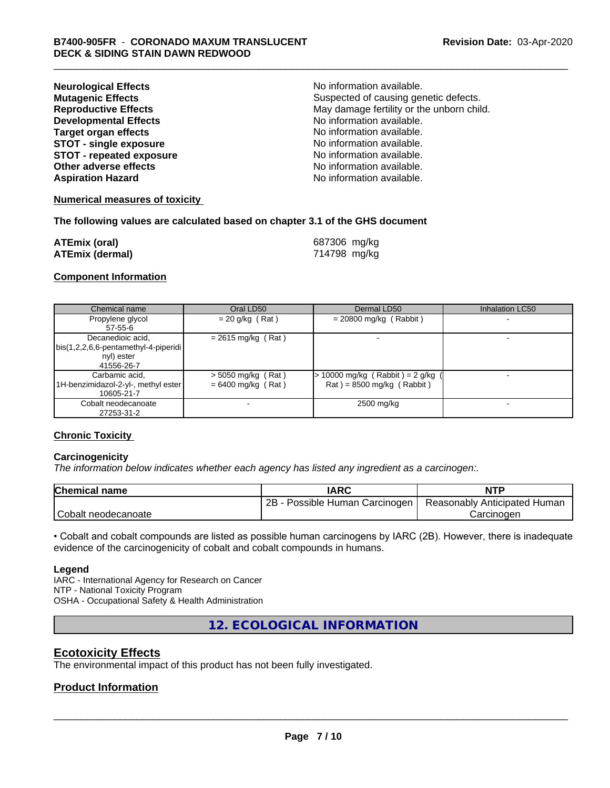| <b>Neurological Effects</b>     | No information available.                 |
|---------------------------------|-------------------------------------------|
| <b>Mutagenic Effects</b>        | Suspected of causing genetic defects.     |
| <b>Reproductive Effects</b>     | May damage fertility or the unborn child. |
| <b>Developmental Effects</b>    | No information available.                 |
| <b>Target organ effects</b>     | No information available.                 |
| <b>STOT - single exposure</b>   | No information available.                 |
| <b>STOT - repeated exposure</b> | No information available.                 |
| Other adverse effects           | No information available.                 |
| <b>Aspiration Hazard</b>        | No information available.                 |

#### **Numerical measures of toxicity**

#### **The following values are calculated based on chapter 3.1 of the GHS document**

| <b>ATEmix (oral)</b>   | 687306 mg/kg |
|------------------------|--------------|
| <b>ATEmix (dermal)</b> | 714798 mg/kg |

#### **Component Information**

| Chemical name                                                                           | Oral LD50                                    | Dermal LD50                                                        | Inhalation LC50 |
|-----------------------------------------------------------------------------------------|----------------------------------------------|--------------------------------------------------------------------|-----------------|
| Propylene glycol<br>57-55-6                                                             | $= 20$ g/kg (Rat)                            | $= 20800$ mg/kg (Rabbit)                                           |                 |
| Decanedioic acid,<br>  bis(1,2,2,6,6-pentamethyl-4-piperidi<br>nyl) ester<br>41556-26-7 | $= 2615$ mg/kg (Rat)                         |                                                                    |                 |
| Carbamic acid,<br>1H-benzimidazol-2-yl-, methyl ester  <br>10605-21-7                   | $>$ 5050 mg/kg (Rat)<br>$= 6400$ mg/kg (Rat) | $> 10000$ mg/kg (Rabbit) = 2 g/kg (<br>$Rat$ = 8500 mg/kg (Rabbit) |                 |
| Cobalt neodecanoate<br>27253-31-2                                                       |                                              | 2500 mg/kg                                                         |                 |

#### **Chronic Toxicity**

#### **Carcinogenicity**

*The information below indicateswhether each agency has listed any ingredient as a carcinogen:.*

| <b>Chemical name</b> | <b>IARC</b>                     | <b>NTP</b>                   |
|----------------------|---------------------------------|------------------------------|
|                      | 2B<br>Possible Human Carcinogen | Reasonably Anticipated Human |
| Cobalt neodecanoate  |                                 | Carcinoden                   |

• Cobalt and cobalt compounds are listed as possible human carcinogens by IARC (2B). However, there is inadequate evidence of the carcinogenicity of cobalt and cobalt compounds in humans.

#### **Legend**

IARC - International Agency for Research on Cancer NTP - National Toxicity Program OSHA - Occupational Safety & Health Administration

**12. ECOLOGICAL INFORMATION**

#### **Ecotoxicity Effects**

The environmental impact of this product has not been fully investigated.

#### **Product Information**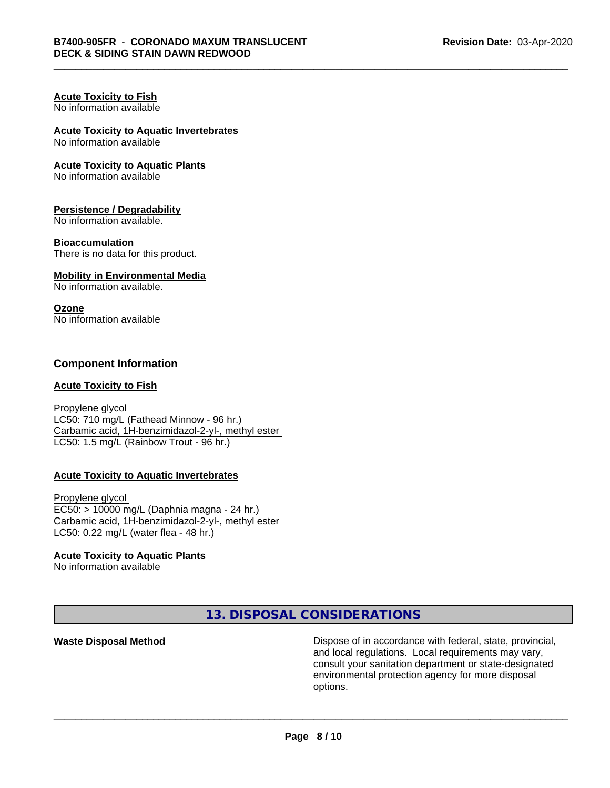#### **Acute Toxicity to Fish** No information available

## **Acute Toxicity to Aquatic Invertebrates**

No information available

#### **Acute Toxicity to Aquatic Plants**

No information available

#### **Persistence / Degradability**

No information available.

#### **Bioaccumulation**

There is no data for this product.

#### **Mobility in Environmental Media**

No information available.

#### **Ozone**

No information available

#### **Component Information**

#### **Acute Toxicity to Fish**

Propylene glycol LC50: 710 mg/L (Fathead Minnow - 96 hr.) Carbamic acid, 1H-benzimidazol-2-yl-, methyl ester LC50: 1.5 mg/L (Rainbow Trout - 96 hr.)

#### **Acute Toxicity to Aquatic Invertebrates**

Propylene glycol EC50: > 10000 mg/L (Daphnia magna - 24 hr.) Carbamic acid, 1H-benzimidazol-2-yl-, methyl ester LC50: 0.22 mg/L (water flea - 48 hr.)

#### **Acute Toxicity to Aquatic Plants**

No information available

**13. DISPOSAL CONSIDERATIONS**

**Waste Disposal Method Dispose of in accordance with federal, state, provincial,** and local regulations. Local requirements may vary, consult your sanitation department or state-designated environmental protection agency for more disposal options.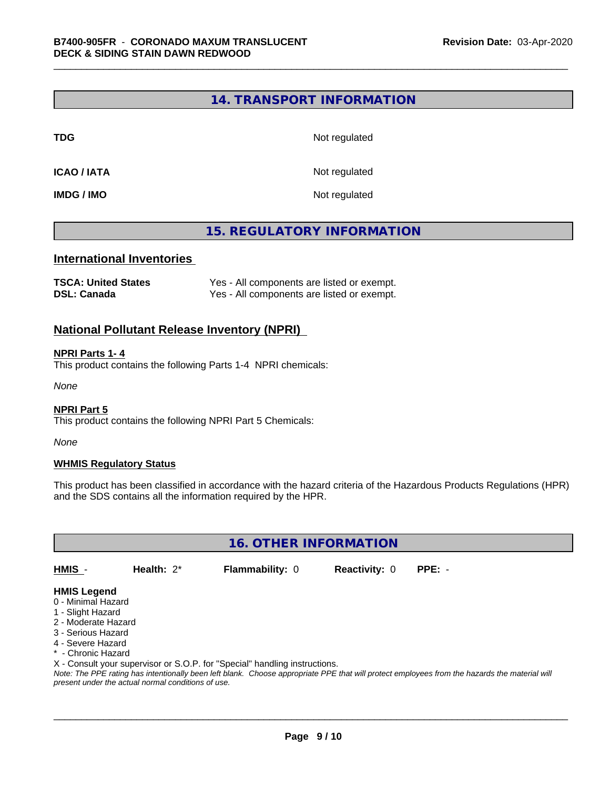#### **14. TRANSPORT INFORMATION**

**TDG** Not regulated

**ICAO / IATA** Not regulated

**IMDG / IMO** Not regulated

### **15. REGULATORY INFORMATION**

#### **International Inventories**

| <b>TSCA: United States</b> | Yes - All components are listed or exempt. |
|----------------------------|--------------------------------------------|
| <b>DSL: Canada</b>         | Yes - All components are listed or exempt. |

#### **National Pollutant Release Inventory (NPRI)**

#### **NPRI Parts 1- 4**

This product contains the following Parts 1-4 NPRI chemicals:

*None*

#### **NPRI Part 5**

This product contains the following NPRI Part 5 Chemicals:

*None*

#### **WHMIS Regulatory Status**

This product has been classified in accordance with the hazard criteria of the Hazardous Products Regulations (HPR) and the SDS contains all the information required by the HPR.

**16. OTHER INFORMATION**

**HMIS** - **Health:** 2\* **Flammability:** 0 **Reactivity:** 0 **PPE:** -

#### **HMIS Legend**

- 0 Minimal Hazard
- 1 Slight Hazard
- 2 Moderate Hazard
- 3 Serious Hazard
- 4 Severe Hazard
- \* Chronic Hazard
- X Consult your supervisor or S.O.P. for "Special" handling instructions.

*Note: The PPE rating has intentionally been left blank. Choose appropriate PPE that will protect employees from the hazards the material will present under the actual normal conditions of use.*